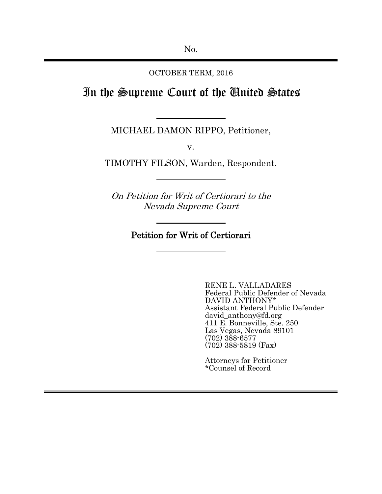OCTOBER TERM, 2016

# In the Supreme Court of the United States

MICHAEL DAMON RIPPO, Petitioner,

v.

TIMOTHY FILSON, Warden, Respondent.

On Petition for Writ of Certiorari to the Nevada Supreme Court

Petition for Writ of Certiorari

RENE L. VALLADARES Federal Public Defender of Nevada DAVID ANTHONY\* Assistant Federal Public Defender david\_anthony@fd.org 411 E. Bonneville, Ste. 250 Las Vegas, Nevada 89101 (702) 388-6577 (702) 388-5819 (Fax)

Attorneys for Petitioner \*Counsel of Record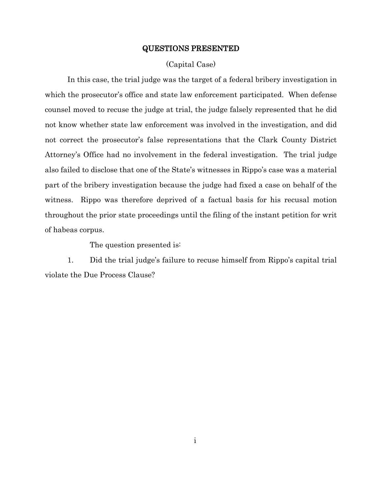### QUESTIONS PRESENTED

## (Capital Case)

<span id="page-1-0"></span>In this case, the trial judge was the target of a federal bribery investigation in which the prosecutor's office and state law enforcement participated. When defense counsel moved to recuse the judge at trial, the judge falsely represented that he did not know whether state law enforcement was involved in the investigation, and did not correct the prosecutor's false representations that the Clark County District Attorney's Office had no involvement in the federal investigation. The trial judge also failed to disclose that one of the State's witnesses in Rippo's case was a material part of the bribery investigation because the judge had fixed a case on behalf of the witness. Rippo was therefore deprived of a factual basis for his recusal motion throughout the prior state proceedings until the filing of the instant petition for writ of habeas corpus.

The question presented is:

1. Did the trial judge's failure to recuse himself from Rippo's capital trial violate the Due Process Clause?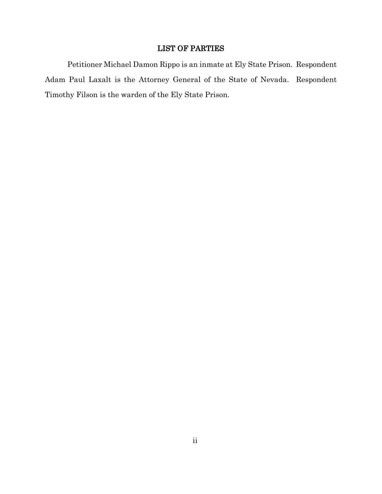# LIST OF PARTIES

<span id="page-2-0"></span>Petitioner Michael Damon Rippo is an inmate at Ely State Prison. Respondent Adam Paul Laxalt is the Attorney General of the State of Nevada. Respondent Timothy Filson is the warden of the Ely State Prison.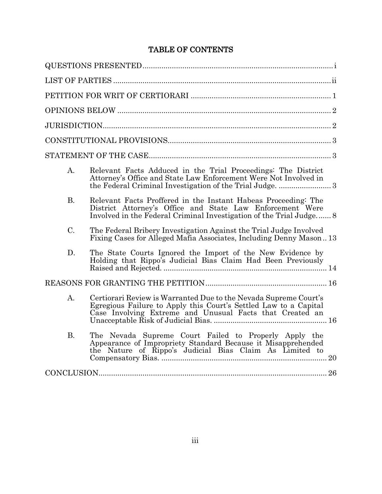# TABLE OF CONTENTS

| A.          | Relevant Facts Adduced in the Trial Proceedings: The District<br>Attorney's Office and State Law Enforcement Were Not Involved in                                                                  |
|-------------|----------------------------------------------------------------------------------------------------------------------------------------------------------------------------------------------------|
| <b>B.</b>   | Relevant Facts Proffered in the Instant Habeas Proceeding: The<br>District Attorney's Office and State Law Enforcement Were<br>Involved in the Federal Criminal Investigation of the Trial Judge 8 |
| C.          | The Federal Bribery Investigation Against the Trial Judge Involved<br>Fixing Cases for Alleged Mafia Associates, Including Denny Mason13                                                           |
| D.          | The State Courts Ignored the Import of the New Evidence by<br>Holding that Rippo's Judicial Bias Claim Had Been Previously                                                                         |
|             |                                                                                                                                                                                                    |
| $A_{\cdot}$ | Certiorari Review is Warranted Due to the Nevada Supreme Court's<br>Egregious Failure to Apply this Court's Settled Law to a Capital Case Involving Extreme and Unusual Facts that Created an      |
| <b>B.</b>   | The Nevada Supreme Court Failed to Properly Apply the<br>Appearance of Impropriety Standard Because it Misapprehended<br>the Nature of Rippo's Judicial Bias Claim As Limited to                   |
| CONCLUSION  |                                                                                                                                                                                                    |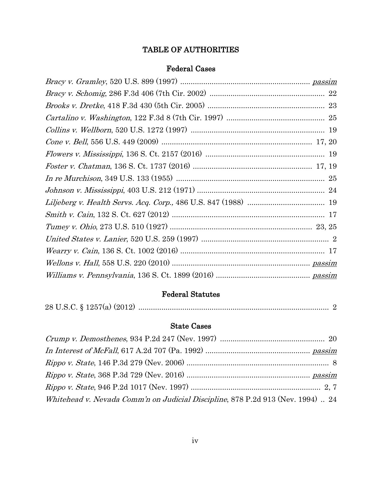# TABLE OF AUTHORITIES

# Federal Cases

# Federal Statutes

|--|--|--|--|--|--|--|

# State Cases

| Whitehead v. Nevada Comm'n on Judicial Discipline, 878 P.2d 913 (Nev. 1994)  24 |  |
|---------------------------------------------------------------------------------|--|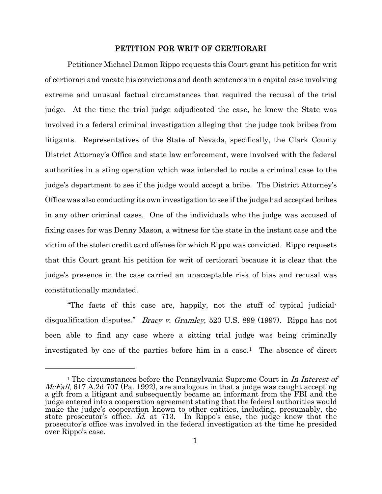# PETITION FOR WRIT OF CERTIORARI

<span id="page-5-0"></span>Petitioner Michael Damon Rippo requests this Court grant his petition for writ of certiorari and vacate his convictions and death sentences in a capital case involving extreme and unusual factual circumstances that required the recusal of the trial judge. At the time the trial judge adjudicated the case, he knew the State was involved in a federal criminal investigation alleging that the judge took bribes from litigants. Representatives of the State of Nevada, specifically, the Clark County District Attorney's Office and state law enforcement, were involved with the federal authorities in a sting operation which was intended to route a criminal case to the judge's department to see if the judge would accept a bribe. The District Attorney's Office was also conducting its own investigation to see if the judge had accepted bribes in any other criminal cases. One of the individuals who the judge was accused of fixing cases for was Denny Mason, a witness for the state in the instant case and the victim of the stolen credit card offense for which Rippo was convicted. Rippo requests that this Court grant his petition for writ of certiorari because it is clear that the judge's presence in the case carried an unacceptable risk of bias and recusal was constitutionally mandated.

"The facts of this case are, happily, not the stuff of typical judicialdisqualification disputes." Bracy v. Gramley, 520 U.S. 899 (1997). Rippo has not been able to find any case where a sitting trial judge was being criminally investigated by one of the parties before him in a case.<sup>1</sup> The absence of direct

 $\overline{a}$ 

<span id="page-5-1"></span><sup>&</sup>lt;sup>1</sup> The circumstances before the Pennsylvania Supreme Court in In Interest of *McFall*, 617 A.2d 707 (Pa. 1992), are analogous in that a judge was caught accepting a gift from a litigant and subsequently became an informant from the FBI and the judge entered into a cooperation agreement stating that the federal authorities would make the judge's cooperation known to other entities, including, presumably, the state prosecutor's office. Id. at 713. In Rippo's case, the judge knew that the prosecutor's office was involved in the federal investigation at the time he presided over Rippo's case.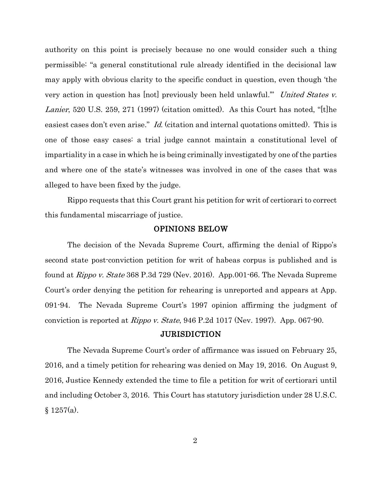authority on this point is precisely because no one would consider such a thing permissible: "a general constitutional rule already identified in the decisional law may apply with obvious clarity to the specific conduct in question, even though 'the very action in question has [not] previously been held unlawful." United States v. Lanier, 520 U.S. 259, 271 (1997) (citation omitted). As this Court has noted, "[t]he easiest cases don't even arise." Id. (citation and internal quotations omitted). This is one of those easy cases: a trial judge cannot maintain a constitutional level of impartiality in a case in which he is being criminally investigated by one of the parties and where one of the state's witnesses was involved in one of the cases that was alleged to have been fixed by the judge.

Rippo requests that this Court grant his petition for writ of certiorari to correct this fundamental miscarriage of justice.

#### OPINIONS BELOW

<span id="page-6-0"></span>The decision of the Nevada Supreme Court, affirming the denial of Rippo's second state post-conviction petition for writ of habeas corpus is published and is found at Rippo v. State 368 P.3d 729 (Nev. 2016). App.001-66. The Nevada Supreme Court's order denying the petition for rehearing is unreported and appears at App. 091-94. The Nevada Supreme Court's 1997 opinion affirming the judgment of conviction is reported at *Rippo v. State*, 946 P.2d 1017 (Nev. 1997). App. 067-90.

#### JURISDICTION

<span id="page-6-1"></span>The Nevada Supreme Court's order of affirmance was issued on February 25, 2016, and a timely petition for rehearing was denied on May 19, 2016. On August 9, 2016, Justice Kennedy extended the time to file a petition for writ of certiorari until and including October 3, 2016. This Court has statutory jurisdiction under 28 U.S.C.  $§ 1257(a).$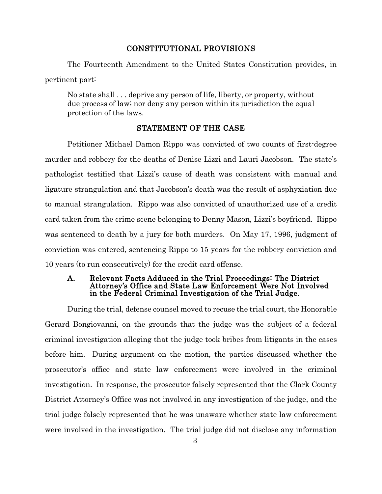# CONSTITUTIONAL PROVISIONS

<span id="page-7-0"></span>The Fourteenth Amendment to the United States Constitution provides, in pertinent part:

No state shall . . . deprive any person of life, liberty, or property, without due process of law; nor deny any person within its jurisdiction the equal protection of the laws.

# STATEMENT OF THE CASE

<span id="page-7-1"></span>Petitioner Michael Damon Rippo was convicted of two counts of first-degree murder and robbery for the deaths of Denise Lizzi and Lauri Jacobson. The state's pathologist testified that Lizzi's cause of death was consistent with manual and ligature strangulation and that Jacobson's death was the result of asphyxiation due to manual strangulation. Rippo was also convicted of unauthorized use of a credit card taken from the crime scene belonging to Denny Mason, Lizzi's boyfriend. Rippo was sentenced to death by a jury for both murders. On May 17, 1996, judgment of conviction was entered, sentencing Rippo to 15 years for the robbery conviction and 10 years (to run consecutively) for the credit card offense.

### <span id="page-7-2"></span>A. Relevant Facts Adduced in the Trial Proceedings: The District Attorney's Office and State Law Enforcement Were Not Involved in the Federal Criminal Investigation of the Trial Judge.

During the trial, defense counsel moved to recuse the trial court, the Honorable Gerard Bongiovanni, on the grounds that the judge was the subject of a federal criminal investigation alleging that the judge took bribes from litigants in the cases before him. During argument on the motion, the parties discussed whether the prosecutor's office and state law enforcement were involved in the criminal investigation. In response, the prosecutor falsely represented that the Clark County District Attorney's Office was not involved in any investigation of the judge, and the trial judge falsely represented that he was unaware whether state law enforcement were involved in the investigation. The trial judge did not disclose any information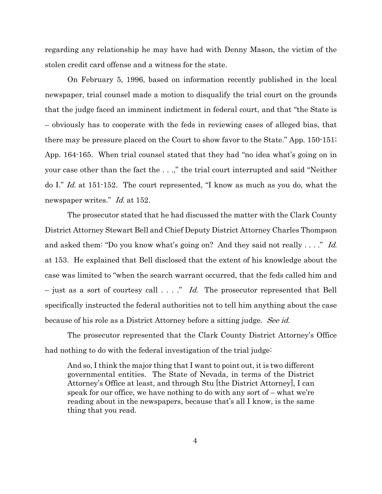regarding any relationship he may have had with Denny Mason, the victim of the stolen credit card offense and a witness for the state.

On February 5, 1996, based on information recently published in the local newspaper, trial counsel made a motion to disqualify the trial court on the grounds that the judge faced an imminent indictment in federal court, and that "the State is – obviously has to cooperate with the feds in reviewing cases of alleged bias, that there may be pressure placed on the Court to show favor to the State." App. 150-151; App. 164-165. When trial counsel stated that they had "no idea what's going on in your case other than the fact the . . .," the trial court interrupted and said "Neither do I." Id. at 151-152. The court represented, "I know as much as you do, what the newspaper writes." Id. at 152.

The prosecutor stated that he had discussed the matter with the Clark County District Attorney Stewart Bell and Chief Deputy District Attorney Charles Thompson and asked them: "Do you know what's going on? And they said not really . . . ." Id. at 153. He explained that Bell disclosed that the extent of his knowledge about the case was limited to "when the search warrant occurred, that the feds called him and  $-$  just as a sort of courtesy call  $\ldots$ ." Id. The prosecutor represented that Bell specifically instructed the federal authorities not to tell him anything about the case because of his role as a District Attorney before a sitting judge. See id.

The prosecutor represented that the Clark County District Attorney's Office had nothing to do with the federal investigation of the trial judge:

And so, I think the major thing that I want to point out, it is two different governmental entities. The State of Nevada, in terms of the District Attorney's Office at least, and through Stu [the District Attorney], I can speak for our office, we have nothing to do with any sort of – what we're reading about in the newspapers, because that's all I know, is the same thing that you read.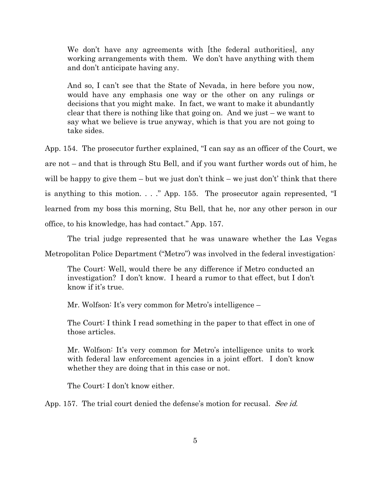We don't have any agreements with [the federal authorities], any working arrangements with them. We don't have anything with them and don't anticipate having any.

And so, I can't see that the State of Nevada, in here before you now, would have any emphasis one way or the other on any rulings or decisions that you might make. In fact, we want to make it abundantly clear that there is nothing like that going on. And we just – we want to say what we believe is true anyway, which is that you are not going to take sides.

App. 154. The prosecutor further explained, "I can say as an officer of the Court, we are not – and that is through Stu Bell, and if you want further words out of him, he will be happy to give them – but we just don't think – we just don't' think that there is anything to this motion. . . ." App. 155. The prosecutor again represented, "I learned from my boss this morning, Stu Bell, that he, nor any other person in our office, to his knowledge, has had contact." App. 157.

The trial judge represented that he was unaware whether the Las Vegas Metropolitan Police Department ("Metro") was involved in the federal investigation:

The Court: Well, would there be any difference if Metro conducted an investigation? I don't know. I heard a rumor to that effect, but I don't know if it's true.

Mr. Wolfson: It's very common for Metro's intelligence –

The Court: I think I read something in the paper to that effect in one of those articles.

Mr. Wolfson: It's very common for Metro's intelligence units to work with federal law enforcement agencies in a joint effort. I don't know whether they are doing that in this case or not.

The Court: I don't know either.

App. 157. The trial court denied the defense's motion for recusal. See id.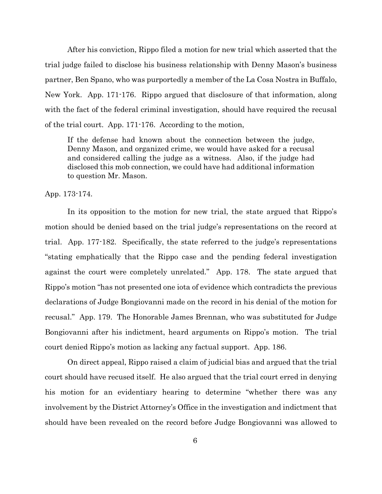After his conviction, Rippo filed a motion for new trial which asserted that the trial judge failed to disclose his business relationship with Denny Mason's business partner, Ben Spano, who was purportedly a member of the La Cosa Nostra in Buffalo, New York. App. 171-176. Rippo argued that disclosure of that information, along with the fact of the federal criminal investigation, should have required the recusal of the trial court. App. 171-176. According to the motion,

If the defense had known about the connection between the judge, Denny Mason, and organized crime, we would have asked for a recusal and considered calling the judge as a witness. Also, if the judge had disclosed this mob connection, we could have had additional information to question Mr. Mason.

App. 173-174.

In its opposition to the motion for new trial, the state argued that Rippo's motion should be denied based on the trial judge's representations on the record at trial. App. 177-182. Specifically, the state referred to the judge's representations "stating emphatically that the Rippo case and the pending federal investigation against the court were completely unrelated." App. 178. The state argued that Rippo's motion "has not presented one iota of evidence which contradicts the previous declarations of Judge Bongiovanni made on the record in his denial of the motion for recusal." App. 179. The Honorable James Brennan, who was substituted for Judge Bongiovanni after his indictment, heard arguments on Rippo's motion. The trial court denied Rippo's motion as lacking any factual support. App. 186.

On direct appeal, Rippo raised a claim of judicial bias and argued that the trial court should have recused itself. He also argued that the trial court erred in denying his motion for an evidentiary hearing to determine "whether there was any involvement by the District Attorney's Office in the investigation and indictment that should have been revealed on the record before Judge Bongiovanni was allowed to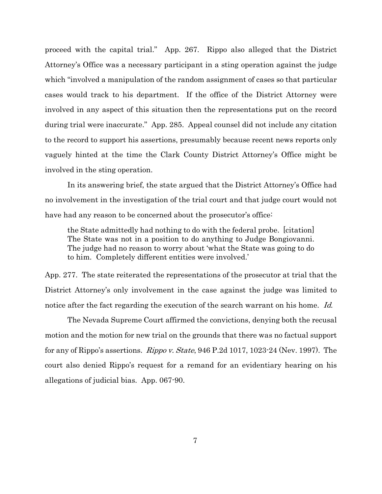proceed with the capital trial." App. 267. Rippo also alleged that the District Attorney's Office was a necessary participant in a sting operation against the judge which "involved a manipulation of the random assignment of cases so that particular cases would track to his department. If the office of the District Attorney were involved in any aspect of this situation then the representations put on the record during trial were inaccurate." App. 285. Appeal counsel did not include any citation to the record to support his assertions, presumably because recent news reports only vaguely hinted at the time the Clark County District Attorney's Office might be involved in the sting operation.

In its answering brief, the state argued that the District Attorney's Office had no involvement in the investigation of the trial court and that judge court would not have had any reason to be concerned about the prosecutor's office.

the State admittedly had nothing to do with the federal probe. [citation] The State was not in a position to do anything to Judge Bongiovanni. The judge had no reason to worry about 'what the State was going to do to him. Completely different entities were involved.'

App. 277. The state reiterated the representations of the prosecutor at trial that the District Attorney's only involvement in the case against the judge was limited to notice after the fact regarding the execution of the search warrant on his home. Id.

The Nevada Supreme Court affirmed the convictions, denying both the recusal motion and the motion for new trial on the grounds that there was no factual support for any of Rippo's assertions. Rippo v. State, 946 P.2d 1017, 1023-24 (Nev. 1997). The court also denied Rippo's request for a remand for an evidentiary hearing on his allegations of judicial bias. App. 067-90.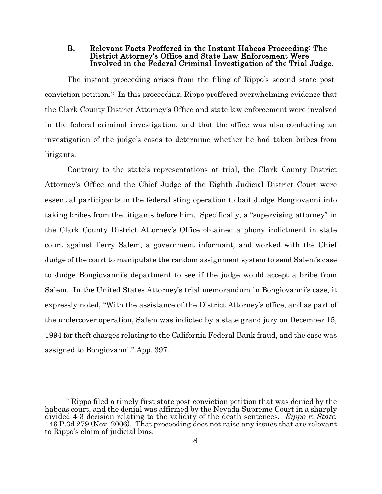<span id="page-12-0"></span>B. Relevant Facts Proffered in the Instant Habeas Proceeding: The District Attorney's Office and State Law Enforcement Were Involved in the Federal Criminal Investigation of the Trial Judge.

The instant proceeding arises from the filing of Rippo's second state postconviction petition.[2](#page-12-1) In this proceeding, Rippo proffered overwhelming evidence that the Clark County District Attorney's Office and state law enforcement were involved in the federal criminal investigation, and that the office was also conducting an investigation of the judge's cases to determine whether he had taken bribes from litigants.

Contrary to the state's representations at trial, the Clark County District Attorney's Office and the Chief Judge of the Eighth Judicial District Court were essential participants in the federal sting operation to bait Judge Bongiovanni into taking bribes from the litigants before him. Specifically, a "supervising attorney" in the Clark County District Attorney's Office obtained a phony indictment in state court against Terry Salem, a government informant, and worked with the Chief Judge of the court to manipulate the random assignment system to send Salem's case to Judge Bongiovanni's department to see if the judge would accept a bribe from Salem. In the United States Attorney's trial memorandum in Bongiovanni's case, it expressly noted, "With the assistance of the District Attorney's office, and as part of the undercover operation, Salem was indicted by a state grand jury on December 15, 1994 for theft charges relating to the California Federal Bank fraud, and the case was assigned to Bongiovanni." App. 397.

 $\overline{a}$ 

<span id="page-12-1"></span><sup>2</sup> Rippo filed a timely first state post-conviction petition that was denied by the habeas court, and the denial was affirmed by the Nevada Supreme Court in a sharply divided 4-3 decision relating to the validity of the death sentences. Rippo v. State, 146 P.3d 279 (Nev. 2006). That proceeding does not raise any issues that are relevant to Rippo's claim of judicial bias.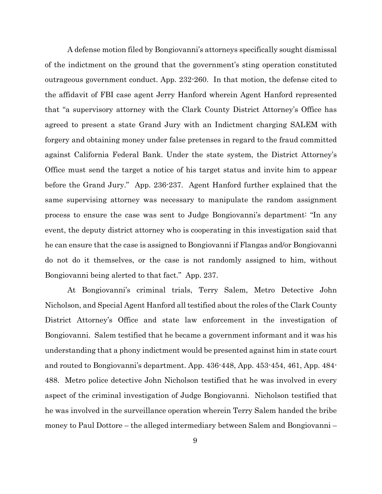A defense motion filed by Bongiovanni's attorneys specifically sought dismissal of the indictment on the ground that the government's sting operation constituted outrageous government conduct. App. 232-260. In that motion, the defense cited to the affidavit of FBI case agent Jerry Hanford wherein Agent Hanford represented that "a supervisory attorney with the Clark County District Attorney's Office has agreed to present a state Grand Jury with an Indictment charging SALEM with forgery and obtaining money under false pretenses in regard to the fraud committed against California Federal Bank. Under the state system, the District Attorney's Office must send the target a notice of his target status and invite him to appear before the Grand Jury." App. 236-237. Agent Hanford further explained that the same supervising attorney was necessary to manipulate the random assignment process to ensure the case was sent to Judge Bongiovanni's department: "In any event, the deputy district attorney who is cooperating in this investigation said that he can ensure that the case is assigned to Bongiovanni if Flangas and/or Bongiovanni do not do it themselves, or the case is not randomly assigned to him, without Bongiovanni being alerted to that fact." App. 237.

At Bongiovanni's criminal trials, Terry Salem, Metro Detective John Nicholson, and Special Agent Hanford all testified about the roles of the Clark County District Attorney's Office and state law enforcement in the investigation of Bongiovanni. Salem testified that he became a government informant and it was his understanding that a phony indictment would be presented against him in state court and routed to Bongiovanni's department. App. 436-448, App. 453-454, 461, App. 484- 488. Metro police detective John Nicholson testified that he was involved in every aspect of the criminal investigation of Judge Bongiovanni. Nicholson testified that he was involved in the surveillance operation wherein Terry Salem handed the bribe money to Paul Dottore – the alleged intermediary between Salem and Bongiovanni –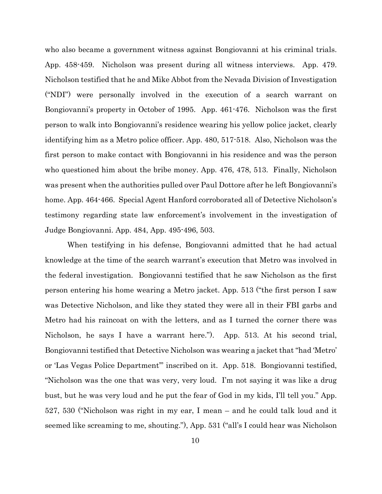who also became a government witness against Bongiovanni at his criminal trials. App. 458-459. Nicholson was present during all witness interviews. App. 479. Nicholson testified that he and Mike Abbot from the Nevada Division of Investigation ("NDI") were personally involved in the execution of a search warrant on Bongiovanni's property in October of 1995. App. 461-476. Nicholson was the first person to walk into Bongiovanni's residence wearing his yellow police jacket, clearly identifying him as a Metro police officer. App. 480, 517-518. Also, Nicholson was the first person to make contact with Bongiovanni in his residence and was the person who questioned him about the bribe money. App. 476, 478, 513. Finally, Nicholson was present when the authorities pulled over Paul Dottore after he left Bongiovanni's home. App. 464-466. Special Agent Hanford corroborated all of Detective Nicholson's testimony regarding state law enforcement's involvement in the investigation of Judge Bongiovanni. App. 484, App. 495-496, 503.

When testifying in his defense, Bongiovanni admitted that he had actual knowledge at the time of the search warrant's execution that Metro was involved in the federal investigation. Bongiovanni testified that he saw Nicholson as the first person entering his home wearing a Metro jacket. App. 513 ("the first person I saw was Detective Nicholson, and like they stated they were all in their FBI garbs and Metro had his raincoat on with the letters, and as I turned the corner there was Nicholson, he says I have a warrant here."). App. 513. At his second trial, Bongiovanni testified that Detective Nicholson was wearing a jacket that "had 'Metro' or 'Las Vegas Police Department'" inscribed on it. App. 518. Bongiovanni testified, "Nicholson was the one that was very, very loud. I'm not saying it was like a drug bust, but he was very loud and he put the fear of God in my kids, I'll tell you." App. 527, 530 ("Nicholson was right in my ear, I mean – and he could talk loud and it seemed like screaming to me, shouting."), App. 531 ("all's I could hear was Nicholson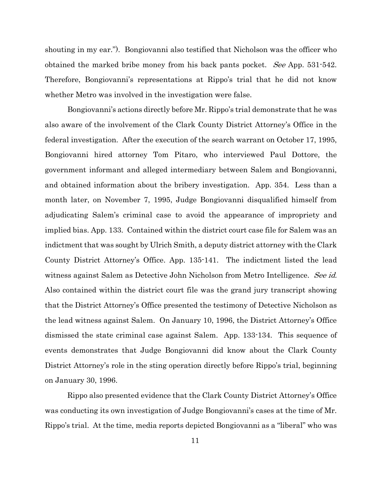shouting in my ear."). Bongiovanni also testified that Nicholson was the officer who obtained the marked bribe money from his back pants pocket. See App. 531-542. Therefore, Bongiovanni's representations at Rippo's trial that he did not know whether Metro was involved in the investigation were false.

Bongiovanni's actions directly before Mr. Rippo's trial demonstrate that he was also aware of the involvement of the Clark County District Attorney's Office in the federal investigation. After the execution of the search warrant on October 17, 1995, Bongiovanni hired attorney Tom Pitaro, who interviewed Paul Dottore, the government informant and alleged intermediary between Salem and Bongiovanni, and obtained information about the bribery investigation. App. 354. Less than a month later, on November 7, 1995, Judge Bongiovanni disqualified himself from adjudicating Salem's criminal case to avoid the appearance of impropriety and implied bias. App. 133. Contained within the district court case file for Salem was an indictment that was sought by Ulrich Smith, a deputy district attorney with the Clark County District Attorney's Office. App. 135-141. The indictment listed the lead witness against Salem as Detective John Nicholson from Metro Intelligence. See id. Also contained within the district court file was the grand jury transcript showing that the District Attorney's Office presented the testimony of Detective Nicholson as the lead witness against Salem. On January 10, 1996, the District Attorney's Office dismissed the state criminal case against Salem. App. 133-134. This sequence of events demonstrates that Judge Bongiovanni did know about the Clark County District Attorney's role in the sting operation directly before Rippo's trial, beginning on January 30, 1996.

Rippo also presented evidence that the Clark County District Attorney's Office was conducting its own investigation of Judge Bongiovanni's cases at the time of Mr. Rippo's trial. At the time, media reports depicted Bongiovanni as a "liberal" who was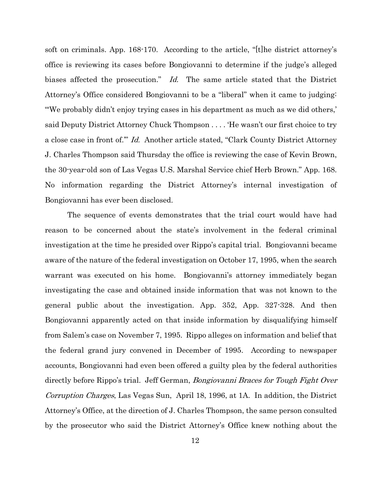soft on criminals. App. 168-170. According to the article, "[t]he district attorney's office is reviewing its cases before Bongiovanni to determine if the judge's alleged biases affected the prosecution." Id. The same article stated that the District Attorney's Office considered Bongiovanni to be a "liberal" when it came to judging: "'We probably didn't enjoy trying cases in his department as much as we did others,' said Deputy District Attorney Chuck Thompson . . . . 'He wasn't our first choice to try a close case in front of.'" Id. Another article stated, "Clark County District Attorney J. Charles Thompson said Thursday the office is reviewing the case of Kevin Brown, the 30-year-old son of Las Vegas U.S. Marshal Service chief Herb Brown." App. 168. No information regarding the District Attorney's internal investigation of Bongiovanni has ever been disclosed.

The sequence of events demonstrates that the trial court would have had reason to be concerned about the state's involvement in the federal criminal investigation at the time he presided over Rippo's capital trial. Bongiovanni became aware of the nature of the federal investigation on October 17, 1995, when the search warrant was executed on his home. Bongiovanni's attorney immediately began investigating the case and obtained inside information that was not known to the general public about the investigation. App. 352, App. 327-328. And then Bongiovanni apparently acted on that inside information by disqualifying himself from Salem's case on November 7, 1995. Rippo alleges on information and belief that the federal grand jury convened in December of 1995. According to newspaper accounts, Bongiovanni had even been offered a guilty plea by the federal authorities directly before Rippo's trial. Jeff German, Bongiovanni Braces for Tough Fight Over Corruption Charges, Las Vegas Sun, April 18, 1996, at 1A. In addition, the District Attorney's Office, at the direction of J. Charles Thompson, the same person consulted by the prosecutor who said the District Attorney's Office knew nothing about the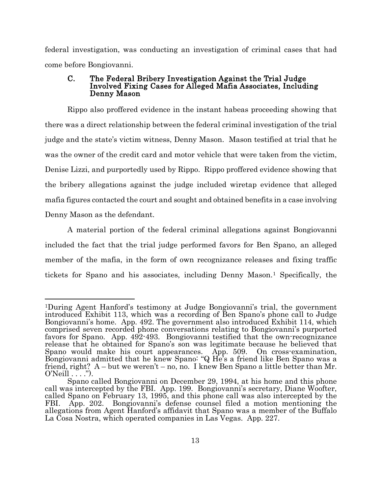federal investigation, was conducting an investigation of criminal cases that had come before Bongiovanni.

### <span id="page-17-0"></span>C. The Federal Bribery Investigation Against the Trial Judge Involved Fixing Cases for Alleged Mafia Associates, Including Denny Mason

Rippo also proffered evidence in the instant habeas proceeding showing that there was a direct relationship between the federal criminal investigation of the trial judge and the state's victim witness, Denny Mason. Mason testified at trial that he was the owner of the credit card and motor vehicle that were taken from the victim, Denise Lizzi, and purportedly used by Rippo. Rippo proffered evidence showing that the bribery allegations against the judge included wiretap evidence that alleged mafia figures contacted the court and sought and obtained benefits in a case involving Denny Mason as the defendant.

A material portion of the federal criminal allegations against Bongiovanni included the fact that the trial judge performed favors for Ben Spano, an alleged member of the mafia, in the form of own recognizance releases and fixing traffic tickets for Spano and his associates, including Denny Mason.[1](#page-17-1) Specifically, the

<span id="page-17-1"></span> <sup>1</sup>During Agent Hanford's testimony at Judge Bongiovanni's trial, the government introduced Exhibit 113, which was a recording of Ben Spano's phone call to Judge Bongiovanni's home. App. 492. The government also introduced Exhibit 114, which comprised seven recorded phone conversations relating to Bongiovanni's purported favors for Spano. App. 492-493. Bongiovanni testified that the own-recognizance release that he obtained for Spano's son was legitimate because he believed that Spano would make his court appearances. App. 509. On cross-examination, Bongiovanni admitted that he knew Spano: "Q He's a friend like Ben Spano was a friend, right? A – but we weren't – no, no. I knew Ben Spano a little better than Mr. O'Neill . . . .").

Spano called Bongiovanni on December 29, 1994, at his home and this phone call was intercepted by the FBI. App. 199. Bongiovanni's secretary, Diane Woofter, called Spano on February 13, 1995, and this phone call was also intercepted by the FBI. App. 202. Bongiovanni's defense counsel filed a motion mentioning the allegations from Agent Hanford's affidavit that Spano was a member of the Buffalo La Cosa Nostra, which operated companies in Las Vegas. App. 227.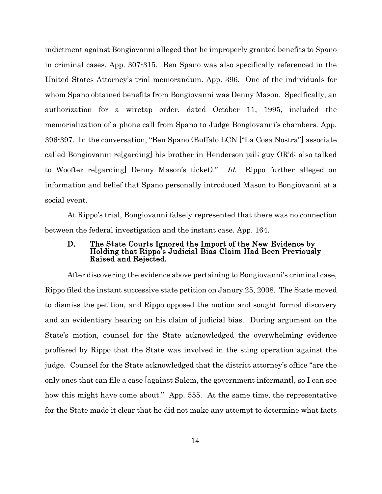indictment against Bongiovanni alleged that he improperly granted benefits to Spano in criminal cases. App. 307-315. Ben Spano was also specifically referenced in the United States Attorney's trial memorandum. App. 396. One of the individuals for whom Spano obtained benefits from Bongiovanni was Denny Mason. Specifically, an authorization for a wiretap order, dated October 11, 1995, included the memorialization of a phone call from Spano to Judge Bongiovanni's chambers. App. 396-397. In the conversation, "Ben Spano (Buffalo LCN ["La Cosa Nostra"] associate called Bongiovanni re[garding] his brother in Henderson jail; guy OR'd; also talked to Woofter re[garding] Denny Mason's ticket)." Id. Rippo further alleged on information and belief that Spano personally introduced Mason to Bongiovanni at a social event.

At Rippo's trial, Bongiovanni falsely represented that there was no connection between the federal investigation and the instant case. App. 164.

## <span id="page-18-0"></span>D. The State Courts Ignored the Import of the New Evidence by Holding that Rippo's Judicial Bias Claim Had Been Previously Raised and Rejected.

After discovering the evidence above pertaining to Bongiovanni's criminal case, Rippo filed the instant successive state petition on Janury 25, 2008. The State moved to dismiss the petition, and Rippo opposed the motion and sought formal discovery and an evidentiary hearing on his claim of judicial bias. During argument on the State's motion, counsel for the State acknowledged the overwhelming evidence proffered by Rippo that the State was involved in the sting operation against the judge. Counsel for the State acknowledged that the district attorney's office "are the only ones that can file a case [against Salem, the government informant], so I can see how this might have come about." App. 555. At the same time, the representative for the State made it clear that he did not make any attempt to determine what facts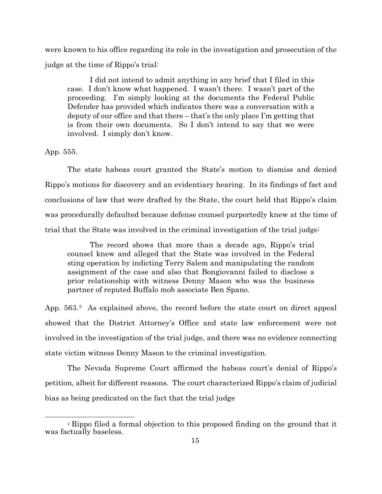were known to his office regarding its role in the investigation and prosecution of the judge at the time of Rippo's trial:

I did not intend to admit anything in any brief that I filed in this case. I don't know what happened. I wasn't there. I wasn't part of the proceeding. I'm simply looking at the documents the Federal Public Defender has provided which indicates there was a conversation with a deputy of our office and that there – that's the only place I'm getting that is from their own documents. So I don't intend to say that we were involved. I simply don't know.

App. 555.

The state habeas court granted the State's motion to dismiss and denied Rippo's motions for discovery and an evidentiary hearing. In its findings of fact and conclusions of law that were drafted by the State, the court held that Rippo's claim was procedurally defaulted because defense counsel purportedly knew at the time of trial that the State was involved in the criminal investigation of the trial judge:

The record shows that more than a decade ago, Rippo's trial counsel knew and alleged that the State was involved in the Federal sting operation by indicting Terry Salem and manipulating the random assignment of the case and also that Bongiovanni failed to disclose a prior relationship with witness Denny Mason who was the business partner of reputed Buffalo mob associate Ben Spano.

App. 563.<sup>3</sup> As explained above, the record before the state court on direct appeal showed that the District Attorney's Office and state law enforcement were not involved in the investigation of the trial judge, and there was no evidence connecting state victim witness Denny Mason to the criminal investigation.

The Nevada Supreme Court affirmed the habeas court's denial of Rippo's petition, albeit for different reasons. The court characterized Rippo's claim of judicial bias as being predicated on the fact that the trial judge

<span id="page-19-0"></span> <sup>3</sup> Rippo filed a formal objection to this proposed finding on the ground that it was factually baseless.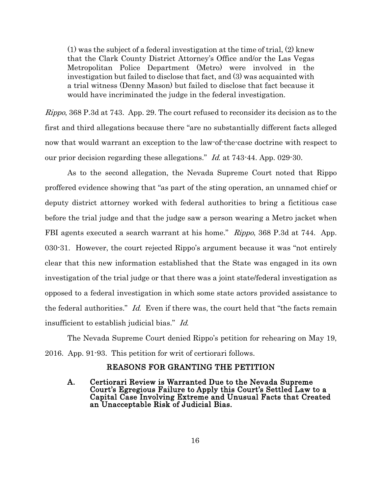(1) was the subject of a federal investigation at the time of trial, (2) knew that the Clark County District Attorney's Office and/or the Las Vegas Metropolitan Police Department (Metro) were involved in the investigation but failed to disclose that fact, and (3) was acquainted with a trial witness (Denny Mason) but failed to disclose that fact because it would have incriminated the judge in the federal investigation.

Rippo, 368 P.3d at 743. App. 29. The court refused to reconsider its decision as to the first and third allegations because there "are no substantially different facts alleged now that would warrant an exception to the law-of-the-case doctrine with respect to our prior decision regarding these allegations." Id. at 743-44. App. 029-30.

As to the second allegation, the Nevada Supreme Court noted that Rippo proffered evidence showing that "as part of the sting operation, an unnamed chief or deputy district attorney worked with federal authorities to bring a fictitious case before the trial judge and that the judge saw a person wearing a Metro jacket when FBI agents executed a search warrant at his home." Rippo, 368 P.3d at 744. App. 030-31. However, the court rejected Rippo's argument because it was "not entirely clear that this new information established that the State was engaged in its own investigation of the trial judge or that there was a joint state/federal investigation as opposed to a federal investigation in which some state actors provided assistance to the federal authorities." Id. Even if there was, the court held that "the facts remain insufficient to establish judicial bias." Id.

The Nevada Supreme Court denied Rippo's petition for rehearing on May 19, 2016. App. 91-93. This petition for writ of certiorari follows.

# REASONS FOR GRANTING THE PETITION

<span id="page-20-1"></span><span id="page-20-0"></span>A. Certiorari Review is Warranted Due to the Nevada Supreme Court's Egregious Failure to Apply this Court's Settled Law to a Capital Case Involving Extreme and Unusual Facts that Created an Unacceptable Risk of Judicial Bias.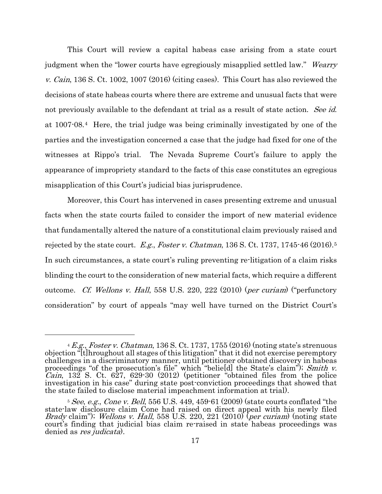This Court will review a capital habeas case arising from a state court judgment when the "lower courts have egregiously misapplied settled law." Wearry v. Cain, 136 S. Ct. 1002, 1007 (2016) (citing cases). This Court has also reviewed the decisions of state habeas courts where there are extreme and unusual facts that were not previously available to the defendant at trial as a result of state action. See id. at 1007-08.[4](#page-21-0) Here, the trial judge was being criminally investigated by one of the parties and the investigation concerned a case that the judge had fixed for one of the witnesses at Rippo's trial. The Nevada Supreme Court's failure to apply the appearance of impropriety standard to the facts of this case constitutes an egregious misapplication of this Court's judicial bias jurisprudence.

Moreover, this Court has intervened in cases presenting extreme and unusual facts when the state courts failed to consider the import of new material evidence that fundamentally altered the nature of a constitutional claim previously raised and rejected by the state court. E.g., Foster v. Chatman, 136 S. Ct. 1737, 174[5](#page-21-1)-46 (2016).<sup>5</sup> In such circumstances, a state court's ruling preventing re-litigation of a claim risks blinding the court to the consideration of new material facts, which require a different outcome. Cf. Wellons v. Hall, 558 U.S. 220, 222 (2010) (per curiam) ("perfunctory consideration" by court of appeals "may well have turned on the District Court's

 $\overline{a}$ 

<span id="page-21-0"></span> $4 E.g., Foster v. Chatman, 136 S. Ct. 1737, 1755 (2016) (noting state's streamuous)$ objection "[t]hroughout all stages of this litigation" that it did not exercise peremptory challenges in a discriminatory manner, until petitioner obtained discovery in habeas proceedings "of the prosecution's file" which "belield the State's claim"); Smith v. *Cain*, 132 S. Ct. 627, 629-30  $(2012)$  (petitioner "obtained files from the police investigation in his case" during state post-conviction proceedings that showed that the state failed to disclose material impeachment information at trial).

<span id="page-21-1"></span> $5$  See, e.g., Cone v. Bell, 556 U.S. 449, 459 $\cdot$ 61 (2009) (state courts conflated "the state-law disclosure claim Cone had raised on direct appeal with his newly filed Brady claim"); Wellons v. Hall, 558 U.S. 220, 221 (2010) (per curiam) (noting state court's finding that judicial bias claim re-raised in state habeas proceedings was denied as *res judicata*).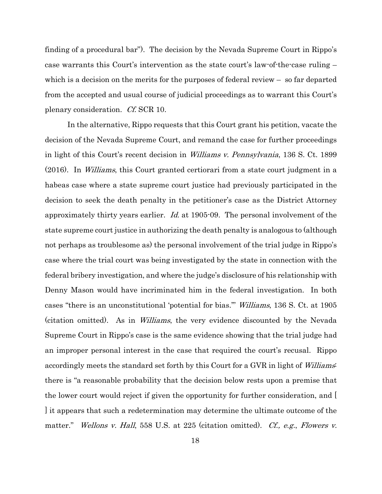finding of a procedural bar"). The decision by the Nevada Supreme Court in Rippo's case warrants this Court's intervention as the state court's law-of-the-case ruling – which is a decision on the merits for the purposes of federal review – so far departed from the accepted and usual course of judicial proceedings as to warrant this Court's plenary consideration. Cf. SCR 10.

In the alternative, Rippo requests that this Court grant his petition, vacate the decision of the Nevada Supreme Court, and remand the case for further proceedings in light of this Court's recent decision in Williams v. Pennsylvania, 136 S. Ct. 1899 (2016). In Williams, this Court granted certiorari from a state court judgment in a habeas case where a state supreme court justice had previously participated in the decision to seek the death penalty in the petitioner's case as the District Attorney approximately thirty years earlier. Id. at 1905-09. The personal involvement of the state supreme court justice in authorizing the death penalty is analogous to (although not perhaps as troublesome as) the personal involvement of the trial judge in Rippo's case where the trial court was being investigated by the state in connection with the federal bribery investigation, and where the judge's disclosure of his relationship with Denny Mason would have incriminated him in the federal investigation. In both cases "there is an unconstitutional 'potential for bias.'" Williams, 136 S. Ct. at 1905 (citation omitted). As in Williams, the very evidence discounted by the Nevada Supreme Court in Rippo's case is the same evidence showing that the trial judge had an improper personal interest in the case that required the court's recusal. Rippo accordingly meets the standard set forth by this Court for a GVR in light of Williams: there is "a reasonable probability that the decision below rests upon a premise that the lower court would reject if given the opportunity for further consideration, and [ ] it appears that such a redetermination may determine the ultimate outcome of the matter." Wellons v. Hall, 558 U.S. at 225 (citation omitted). Cf., e.g., Flowers v.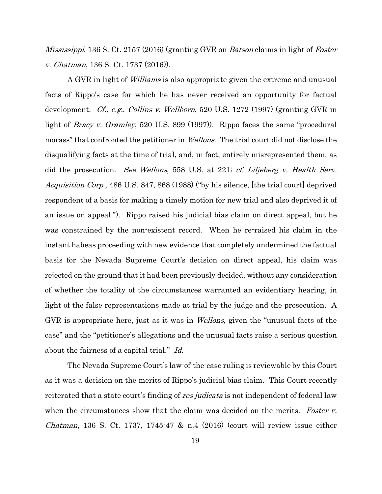*Mississippi*, 136 S. Ct. 2157 (2016) (granting GVR on *Batson* claims in light of *Foster* v. Chatman, 136 S. Ct. 1737 (2016)).

A GVR in light of Williams is also appropriate given the extreme and unusual facts of Rippo's case for which he has never received an opportunity for factual development. Cf., e.g., Collins v. Wellborn, 520 U.S. 1272 (1997) (granting GVR in light of *Bracy v. Gramley*, 520 U.S. 899 (1997)). Rippo faces the same "procedural morass" that confronted the petitioner in *Wellons*. The trial court did not disclose the disqualifying facts at the time of trial, and, in fact, entirely misrepresented them, as did the prosecution. See Wellons, 558 U.S. at 221; cf. Liljeberg v. Health Serv. Acquisition Corp., 486 U.S. 847, 868 (1988) ("by his silence, [the trial court] deprived respondent of a basis for making a timely motion for new trial and also deprived it of an issue on appeal."). Rippo raised his judicial bias claim on direct appeal, but he was constrained by the non-existent record. When he re-raised his claim in the instant habeas proceeding with new evidence that completely undermined the factual basis for the Nevada Supreme Court's decision on direct appeal, his claim was rejected on the ground that it had been previously decided, without any consideration of whether the totality of the circumstances warranted an evidentiary hearing, in light of the false representations made at trial by the judge and the prosecution. A GVR is appropriate here, just as it was in Wellons, given the "unusual facts of the case" and the "petitioner's allegations and the unusual facts raise a serious question about the fairness of a capital trial." Id.

The Nevada Supreme Court's law-of-the-case ruling is reviewable by this Court as it was a decision on the merits of Rippo's judicial bias claim. This Court recently reiterated that a state court's finding of res judicata is not independent of federal law when the circumstances show that the claim was decided on the merits. Foster v. *Chatman*, 136 S. Ct. 1737, 1745-47 & n.4  $(2016)$  (court will review issue either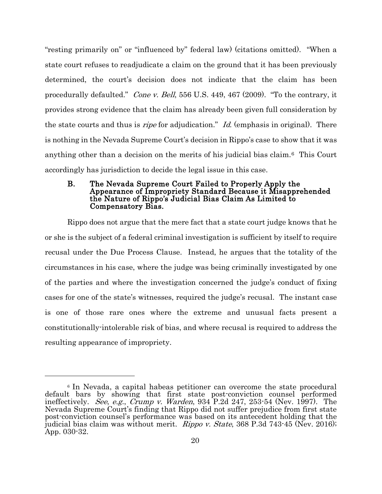"resting primarily on" or "influenced by" federal law) (citations omitted). "When a state court refuses to readjudicate a claim on the ground that it has been previously determined, the court's decision does not indicate that the claim has been procedurally defaulted." Cone v. Bell, 556 U.S. 449, 467 (2009). "To the contrary, it provides strong evidence that the claim has already been given full consideration by the state courts and thus is *ripe* for adjudication." *Id.* (emphasis in original). There is nothing in the Nevada Supreme Court's decision in Rippo's case to show that it was anything other than a decision on the merits of his judicial bias claim.[6](#page-24-1) This Court accordingly has jurisdiction to decide the legal issue in this case.

#### <span id="page-24-0"></span>B. The Nevada Supreme Court Failed to Properly Apply the Appearance of Impropriety Standard Because it Misapprehended the Nature of Rippo's Judicial Bias Claim As Limited to Compensatory Bias.

Rippo does not argue that the mere fact that a state court judge knows that he or she is the subject of a federal criminal investigation is sufficient by itself to require recusal under the Due Process Clause. Instead, he argues that the totality of the circumstances in his case, where the judge was being criminally investigated by one of the parties and where the investigation concerned the judge's conduct of fixing cases for one of the state's witnesses, required the judge's recusal. The instant case is one of those rare ones where the extreme and unusual facts present a constitutionally-intolerable risk of bias, and where recusal is required to address the resulting appearance of impropriety.

 $\overline{a}$ 

<span id="page-24-1"></span><sup>6</sup> In Nevada, a capital habeas petitioner can overcome the state procedural default bars by showing that first state post-conviction counsel performed ineffectively. *See, e.g., Crump v. Warden,* 934 P.2d 247, 253-54 (Nev. 1997). The Nevada Supreme Court's finding that Rippo did not suffer prejudice from first state post-conviction counsel's performance was based on its antecedent holding that the judicial bias claim was without merit. *Rippo v. State*, 368 P.3d 743-45 (Nev. 2016); App. 030-32.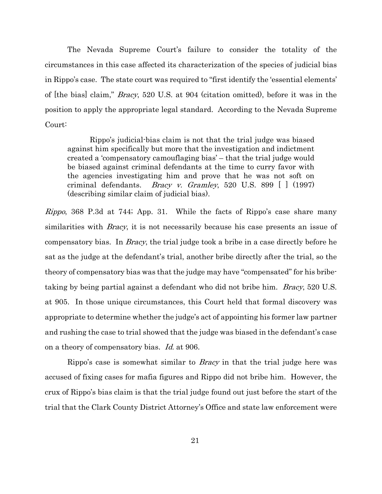The Nevada Supreme Court's failure to consider the totality of the circumstances in this case affected its characterization of the species of judicial bias in Rippo's case. The state court was required to "first identify the 'essential elements' of [the bias] claim," Bracy, 520 U.S. at 904 (citation omitted), before it was in the position to apply the appropriate legal standard. According to the Nevada Supreme Court:

Rippo's judicial-bias claim is not that the trial judge was biased against him specifically but more that the investigation and indictment created a 'compensatory camouflaging bias' – that the trial judge would be biased against criminal defendants at the time to curry favor with the agencies investigating him and prove that he was not soft on criminal defendants. *Bracy v. Gramley*, 520 U.S. 899  $\vert$  (1997) (describing similar claim of judicial bias).

Rippo, 368 P.3d at 744; App. 31. While the facts of Rippo's case share many similarities with *Bracy*, it is not necessarily because his case presents an issue of compensatory bias. In *Bracy*, the trial judge took a bribe in a case directly before he sat as the judge at the defendant's trial, another bribe directly after the trial, so the theory of compensatory bias was that the judge may have "compensated" for his bribetaking by being partial against a defendant who did not bribe him. Bracy, 520 U.S. at 905. In those unique circumstances, this Court held that formal discovery was appropriate to determine whether the judge's act of appointing his former law partner and rushing the case to trial showed that the judge was biased in the defendant's case on a theory of compensatory bias. Id. at 906.

Rippo's case is somewhat similar to *Bracy* in that the trial judge here was accused of fixing cases for mafia figures and Rippo did not bribe him. However, the crux of Rippo's bias claim is that the trial judge found out just before the start of the trial that the Clark County District Attorney's Office and state law enforcement were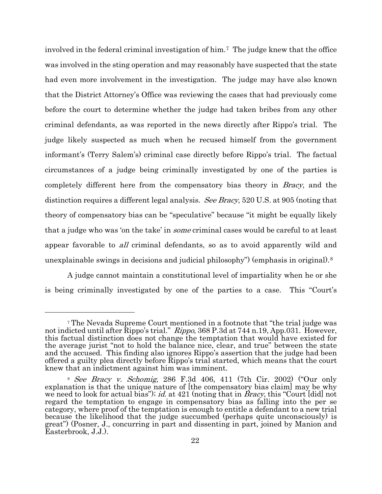involved in the federal criminal investigation of him.[7](#page-26-0) The judge knew that the office was involved in the sting operation and may reasonably have suspected that the state had even more involvement in the investigation. The judge may have also known that the District Attorney's Office was reviewing the cases that had previously come before the court to determine whether the judge had taken bribes from any other criminal defendants, as was reported in the news directly after Rippo's trial. The judge likely suspected as much when he recused himself from the government informant's (Terry Salem's) criminal case directly before Rippo's trial. The factual circumstances of a judge being criminally investigated by one of the parties is completely different here from the compensatory bias theory in Bracy, and the distinction requires a different legal analysis. See Bracy, 520 U.S. at 905 (noting that theory of compensatory bias can be "speculative" because "it might be equally likely that a judge who was 'on the take' in *some* criminal cases would be careful to at least appear favorable to *all* criminal defendants, so as to avoid apparently wild and unexplainable swings in decisions and judicial philosophy") (emphasis in original).[8](#page-26-1)

A judge cannot maintain a constitutional level of impartiality when he or she is being criminally investigated by one of the parties to a case. This "Court's

 $\overline{a}$ 

<span id="page-26-0"></span><sup>7</sup> The Nevada Supreme Court mentioned in a footnote that "the trial judge was not indicted until after Rippo's trial." Rippo, 368 P.3d at 744 n.19, App.031. However, this factual distinction does not change the temptation that would have existed for the average jurist "not to hold the balance nice, clear, and true" between the state and the accused. This finding also ignores Rippo's assertion that the judge had been offered a guilty plea directly before Rippo's trial started, which means that the court knew that an indictment against him was imminent.

<span id="page-26-1"></span><sup>8</sup> See Bracy v. Schomig, 286 F.3d 406, 411 (7th Cir. 2002) ("Our only explanation is that the unique nature of [the compensatory bias claim] may be why we need to look for actual bias"); id. at 421 (noting that in *Bracy*, this "Court [did] not regard the temptation to engage in compensatory bias as falling into the per se category, where proof of the temptation is enough to entitle a defendant to a new trial because the likelihood that the judge succumbed (perhaps quite unconsciously) is great") (Posner, J., concurring in part and dissenting in part, joined by Manion and Easterbrook, J.J.).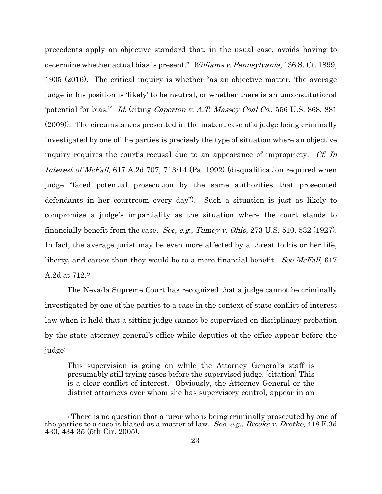precedents apply an objective standard that, in the usual case, avoids having to determine whether actual bias is present." Williams v. Pennsylvania, 136 S. Ct. 1899, 1905 (2016). The critical inquiry is whether "as an objective matter, 'the average judge in his position is 'likely' to be neutral, or whether there is an unconstitutional 'potential for bias.'" Id. (citing Caperton v. A.T. Massey Coal Co., 556 U.S. 868, 881 (2009)). The circumstances presented in the instant case of a judge being criminally investigated by one of the parties is precisely the type of situation where an objective inquiry requires the court's recusal due to an appearance of impropriety. *Cf. In* Interest of McFall, 617 A.2d 707, 713-14 (Pa. 1992) (disqualification required when judge "faced potential prosecution by the same authorities that prosecuted defendants in her courtroom every day"). Such a situation is just as likely to compromise a judge's impartiality as the situation where the court stands to financially benefit from the case. See, e.g., Tumey v. Ohio,  $273 \text{ U.S. } 510, 532 \text{ (1927)}$ . In fact, the average jurist may be even more affected by a threat to his or her life, liberty, and career than they would be to a mere financial benefit. See McFall, 617 A.2d at 712[.9](#page-27-0) 

The Nevada Supreme Court has recognized that a judge cannot be criminally investigated by one of the parties to a case in the context of state conflict of interest law when it held that a sitting judge cannot be supervised on disciplinary probation by the state attorney general's office while deputies of the office appear before the judge:

This supervision is going on while the Attorney General's staff is presumably still trying cases before the supervised judge. [citation] This is a clear conflict of interest. Obviously, the Attorney General or the district attorneys over whom she has supervisory control, appear in an

 $\overline{a}$ 

<span id="page-27-0"></span><sup>9</sup> There is no question that a juror who is being criminally prosecuted by one of the parties to a case is biased as a matter of law. See, e.g., Brooks v. Dretke, 418 F.3d 430, 434-35 (5th Cir. 2005).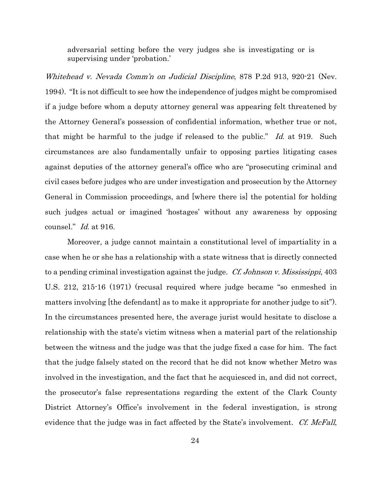adversarial setting before the very judges she is investigating or is supervising under 'probation.'

Whitehead v. Nevada Comm'n on Judicial Discipline, 878 P.2d 913, 920-21 (Nev. 1994). "It is not difficult to see how the independence of judges might be compromised if a judge before whom a deputy attorney general was appearing felt threatened by the Attorney General's possession of confidential information, whether true or not, that might be harmful to the judge if released to the public." Id. at 919. Such circumstances are also fundamentally unfair to opposing parties litigating cases against deputies of the attorney general's office who are "prosecuting criminal and civil cases before judges who are under investigation and prosecution by the Attorney General in Commission proceedings, and [where there is] the potential for holding such judges actual or imagined 'hostages' without any awareness by opposing counsel." Id. at 916.

Moreover, a judge cannot maintain a constitutional level of impartiality in a case when he or she has a relationship with a state witness that is directly connected to a pending criminal investigation against the judge. *Cf. Johnson v. Mississippi*, 403 U.S. 212, 215-16 (1971) (recusal required where judge became "so enmeshed in matters involving [the defendant] as to make it appropriate for another judge to sit"). In the circumstances presented here, the average jurist would hesitate to disclose a relationship with the state's victim witness when a material part of the relationship between the witness and the judge was that the judge fixed a case for him. The fact that the judge falsely stated on the record that he did not know whether Metro was involved in the investigation, and the fact that he acquiesced in, and did not correct, the prosecutor's false representations regarding the extent of the Clark County District Attorney's Office's involvement in the federal investigation, is strong evidence that the judge was in fact affected by the State's involvement. Cf. McFall,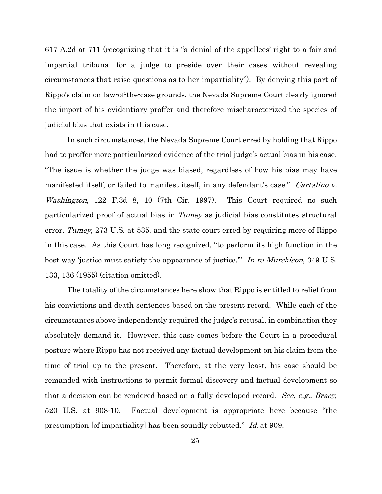617 A.2d at 711 (recognizing that it is "a denial of the appellees' right to a fair and impartial tribunal for a judge to preside over their cases without revealing circumstances that raise questions as to her impartiality"). By denying this part of Rippo's claim on law-of-the-case grounds, the Nevada Supreme Court clearly ignored the import of his evidentiary proffer and therefore mischaracterized the species of judicial bias that exists in this case.

In such circumstances, the Nevada Supreme Court erred by holding that Rippo had to proffer more particularized evidence of the trial judge's actual bias in his case. "The issue is whether the judge was biased, regardless of how his bias may have manifested itself, or failed to manifest itself, in any defendant's case." Cartalino v. Washington, 122 F.3d 8, 10 (7th Cir. 1997). This Court required no such particularized proof of actual bias in Tumey as judicial bias constitutes structural error, Tumey, 273 U.S. at 535, and the state court erred by requiring more of Rippo in this case. As this Court has long recognized, "to perform its high function in the best way 'justice must satisfy the appearance of justice." In re Murchison, 349 U.S. 133, 136 (1955) (citation omitted).

The totality of the circumstances here show that Rippo is entitled to relief from his convictions and death sentences based on the present record. While each of the circumstances above independently required the judge's recusal, in combination they absolutely demand it. However, this case comes before the Court in a procedural posture where Rippo has not received any factual development on his claim from the time of trial up to the present. Therefore, at the very least, his case should be remanded with instructions to permit formal discovery and factual development so that a decision can be rendered based on a fully developed record. See, e.g., Bracy, 520 U.S. at 908-10. Factual development is appropriate here because "the presumption [of impartiality] has been soundly rebutted." Id. at 909.